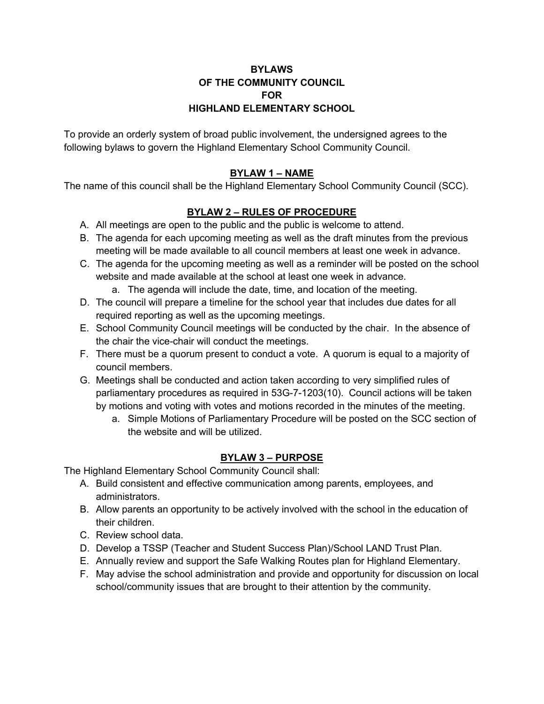# **BYLAWS OF THE COMMUNITY COUNCIL FOR HIGHLAND ELEMENTARY SCHOOL**

To provide an orderly system of broad public involvement, the undersigned agrees to the following bylaws to govern the Highland Elementary School Community Council.

# **BYLAW 1 – NAME**

The name of this council shall be the Highland Elementary School Community Council (SCC).

#### **BYLAW 2 – RULES OF PROCEDURE**

- A. All meetings are open to the public and the public is welcome to attend.
- B. The agenda for each upcoming meeting as well as the draft minutes from the previous meeting will be made available to all council members at least one week in advance.
- C. The agenda for the upcoming meeting as well as a reminder will be posted on the school website and made available at the school at least one week in advance.
	- a. The agenda will include the date, time, and location of the meeting.
- D. The council will prepare a timeline for the school year that includes due dates for all required reporting as well as the upcoming meetings.
- E. School Community Council meetings will be conducted by the chair. In the absence of the chair the vice-chair will conduct the meetings.
- F. There must be a quorum present to conduct a vote. A quorum is equal to a majority of council members.
- G. Meetings shall be conducted and action taken according to very simplified rules of parliamentary procedures as required in 53G-7-1203(10). Council actions will be taken by motions and voting with votes and motions recorded in the minutes of the meeting.
	- a. Simple Motions of Parliamentary Procedure will be posted on the SCC section of the website and will be utilized.

# **BYLAW 3 – PURPOSE**

The Highland Elementary School Community Council shall:

- A. Build consistent and effective communication among parents, employees, and administrators.
- B. Allow parents an opportunity to be actively involved with the school in the education of their children.
- C. Review school data.
- D. Develop a TSSP (Teacher and Student Success Plan)/School LAND Trust Plan.
- E. Annually review and support the Safe Walking Routes plan for Highland Elementary.
- F. May advise the school administration and provide and opportunity for discussion on local school/community issues that are brought to their attention by the community.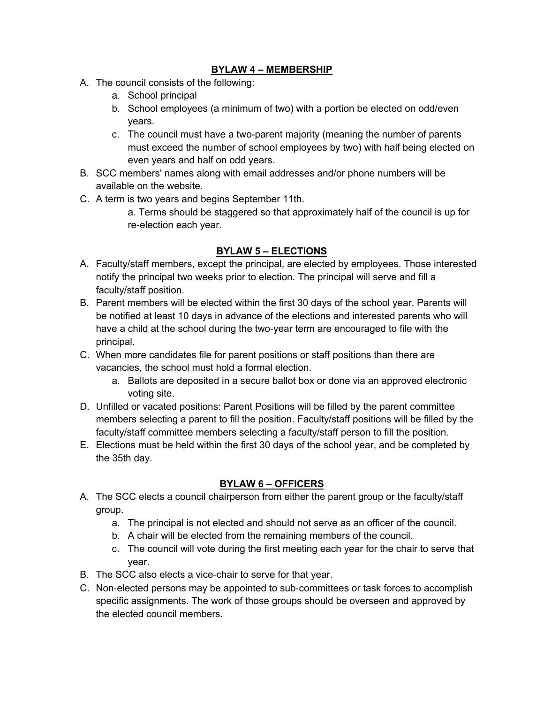## **BYLAW 4 – MEMBERSHIP**

- A. The council consists of the following:
	- a. School principal
	- b. School employees (a minimum of two) with a portion be elected on odd/even years.
	- c. The council must have a two-parent majority (meaning the number of parents must exceed the number of school employees by two) with half being elected on even years and half on odd years.
- B. SCC members' names along with email addresses and/or phone numbers will be available on the website.
- C. A term is two years and begins September 11th.
	- a. Terms should be staggered so that approximately half of the council is up for re-election each year.

# **BYLAW 5 – ELECTIONS**

- A. Faculty/staff members, except the principal, are elected by employees. Those interested notify the principal two weeks prior to election. The principal will serve and fill a faculty/staff position.
- B. Parent members will be elected within the first 30 days of the school year. Parents will be notified at least 10 days in advance of the elections and interested parents who will have a child at the school during the two-year term are encouraged to file with the principal.
- C. When more candidates file for parent positions or staff positions than there are vacancies, the school must hold a formal election.
	- a. Ballots are deposited in a secure ballot box or done via an approved electronic voting site.
- D. Unfilled or vacated positions: Parent Positions will be filled by the parent committee members selecting a parent to fill the position. Faculty/staff positions will be filled by the faculty/staff committee members selecting a faculty/staff person to fill the position.
- E. Elections must be held within the first 30 days of the school year, and be completed by the 35th day.

# **BYLAW 6 – OFFICERS**

- A. The SCC elects a council chairperson from either the parent group or the faculty/staff group.
	- a. The principal is not elected and should not serve as an officer of the council.
	- b. A chair will be elected from the remaining members of the council.
	- c. The council will vote during the first meeting each year for the chair to serve that year.
- B. The SCC also elects a vice-chair to serve for that year.
- C. Non-elected persons may be appointed to sub-committees or task forces to accomplish specific assignments. The work of those groups should be overseen and approved by the elected council members.